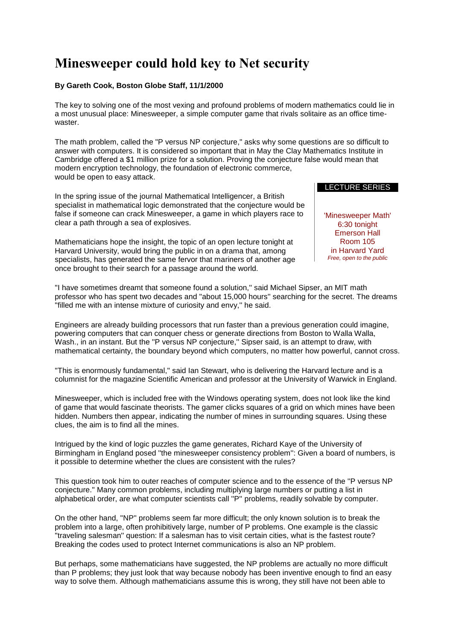## **Minesweeper could hold key to Net security**

## **By Gareth Cook, Boston Globe Staff, 11/1/2000**

The key to solving one of the most vexing and profound problems of modern mathematics could lie in a most unusual place: Minesweeper, a simple computer game that rivals solitaire as an office timewaster

The math problem, called the "P versus NP conjecture," asks why some questions are so difficult to answer with computers. It is considered so important that in May the Clay Mathematics Institute in Cambridge offered a \$1 million prize for a solution. Proving the conjecture false would mean that modern encryption technology, the foundation of electronic commerce, would be open to easy attack.

In the spring issue of the journal Mathematical Intelligencer, a British specialist in mathematical logic demonstrated that the conjecture would be false if someone can crack Minesweeper, a game in which players race to clear a path through a sea of explosives.

Mathematicians hope the insight, the topic of an open lecture tonight at Harvard University, would bring the public in on a drama that, among specialists, has generated the same fervor that mariners of another age once brought to their search for a passage around the world.

## LECTURE SERIES

'Minesweeper Math' 6:30 tonight Emerson Hall Room 105 in Harvard Yard *Free, open to the public*

''I have sometimes dreamt that someone found a solution,'' said Michael Sipser, an MIT math professor who has spent two decades and ''about 15,000 hours'' searching for the secret. The dreams ''filled me with an intense mixture of curiosity and envy,'' he said.

Engineers are already building processors that run faster than a previous generation could imagine, powering computers that can conquer chess or generate directions from Boston to Walla Walla, Wash., in an instant. But the ''P versus NP conjecture,'' Sipser said, is an attempt to draw, with mathematical certainty, the boundary beyond which computers, no matter how powerful, cannot cross.

''This is enormously fundamental,'' said Ian Stewart, who is delivering the Harvard lecture and is a columnist for the magazine Scientific American and professor at the University of Warwick in England.

Minesweeper, which is included free with the Windows operating system, does not look like the kind of game that would fascinate theorists. The gamer clicks squares of a grid on which mines have been hidden. Numbers then appear, indicating the number of mines in surrounding squares. Using these clues, the aim is to find all the mines.

Intrigued by the kind of logic puzzles the game generates, Richard Kaye of the University of Birmingham in England posed ''the minesweeper consistency problem'': Given a board of numbers, is it possible to determine whether the clues are consistent with the rules?

This question took him to outer reaches of computer science and to the essence of the ''P versus NP conjecture.'' Many common problems, including multiplying large numbers or putting a list in alphabetical order, are what computer scientists call ''P'' problems, readily solvable by computer.

On the other hand, ''NP'' problems seem far more difficult; the only known solution is to break the problem into a large, often prohibitively large, number of P problems. One example is the classic ''traveling salesman'' question: If a salesman has to visit certain cities, what is the fastest route? Breaking the codes used to protect Internet communications is also an NP problem.

But perhaps, some mathematicians have suggested, the NP problems are actually no more difficult than P problems; they just look that way because nobody has been inventive enough to find an easy way to solve them. Although mathematicians assume this is wrong, they still have not been able to